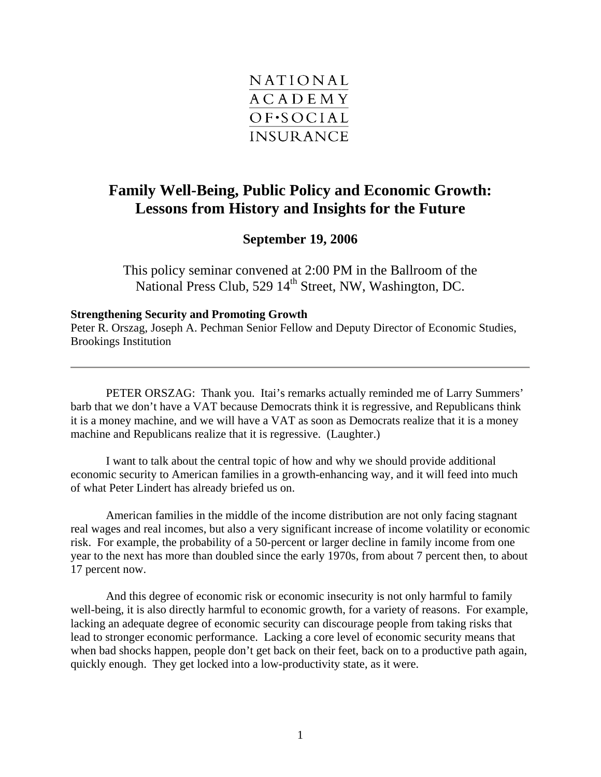

## **Family Well-Being, Public Policy and Economic Growth: Lessons from History and Insights for the Future**

## **September 19, 2006**

This policy seminar convened at 2:00 PM in the Ballroom of the National Press Club, 529 14<sup>th</sup> Street, NW, Washington, DC.

## **Strengthening Security and Promoting Growth**

Peter R. Orszag, Joseph A. Pechman Senior Fellow and Deputy Director of Economic Studies, Brookings Institution

PETER ORSZAG: Thank you. Itai's remarks actually reminded me of Larry Summers' barb that we don't have a VAT because Democrats think it is regressive, and Republicans think it is a money machine, and we will have a VAT as soon as Democrats realize that it is a money machine and Republicans realize that it is regressive. (Laughter.)

I want to talk about the central topic of how and why we should provide additional economic security to American families in a growth-enhancing way, and it will feed into much of what Peter Lindert has already briefed us on.

American families in the middle of the income distribution are not only facing stagnant real wages and real incomes, but also a very significant increase of income volatility or economic risk. For example, the probability of a 50-percent or larger decline in family income from one year to the next has more than doubled since the early 1970s, from about 7 percent then, to about 17 percent now.

And this degree of economic risk or economic insecurity is not only harmful to family well-being, it is also directly harmful to economic growth, for a variety of reasons. For example, lacking an adequate degree of economic security can discourage people from taking risks that lead to stronger economic performance. Lacking a core level of economic security means that when bad shocks happen, people don't get back on their feet, back on to a productive path again, quickly enough. They get locked into a low-productivity state, as it were.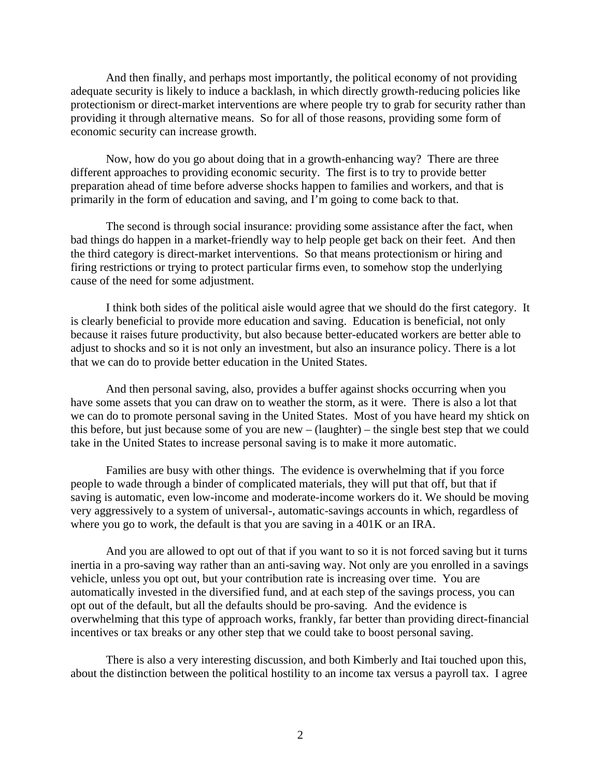And then finally, and perhaps most importantly, the political economy of not providing adequate security is likely to induce a backlash, in which directly growth-reducing policies like protectionism or direct-market interventions are where people try to grab for security rather than providing it through alternative means. So for all of those reasons, providing some form of economic security can increase growth.

Now, how do you go about doing that in a growth-enhancing way? There are three different approaches to providing economic security. The first is to try to provide better preparation ahead of time before adverse shocks happen to families and workers, and that is primarily in the form of education and saving, and I'm going to come back to that.

The second is through social insurance: providing some assistance after the fact, when bad things do happen in a market-friendly way to help people get back on their feet. And then the third category is direct-market interventions. So that means protectionism or hiring and firing restrictions or trying to protect particular firms even, to somehow stop the underlying cause of the need for some adjustment.

I think both sides of the political aisle would agree that we should do the first category. It is clearly beneficial to provide more education and saving. Education is beneficial, not only because it raises future productivity, but also because better-educated workers are better able to adjust to shocks and so it is not only an investment, but also an insurance policy. There is a lot that we can do to provide better education in the United States.

And then personal saving, also, provides a buffer against shocks occurring when you have some assets that you can draw on to weather the storm, as it were. There is also a lot that we can do to promote personal saving in the United States. Most of you have heard my shtick on this before, but just because some of you are new – (laughter) – the single best step that we could take in the United States to increase personal saving is to make it more automatic.

Families are busy with other things. The evidence is overwhelming that if you force people to wade through a binder of complicated materials, they will put that off, but that if saving is automatic, even low-income and moderate-income workers do it. We should be moving very aggressively to a system of universal-, automatic-savings accounts in which, regardless of where you go to work, the default is that you are saving in a 401K or an IRA.

And you are allowed to opt out of that if you want to so it is not forced saving but it turns inertia in a pro-saving way rather than an anti-saving way. Not only are you enrolled in a savings vehicle, unless you opt out, but your contribution rate is increasing over time. You are automatically invested in the diversified fund, and at each step of the savings process, you can opt out of the default, but all the defaults should be pro-saving. And the evidence is overwhelming that this type of approach works, frankly, far better than providing direct-financial incentives or tax breaks or any other step that we could take to boost personal saving.

There is also a very interesting discussion, and both Kimberly and Itai touched upon this, about the distinction between the political hostility to an income tax versus a payroll tax. I agree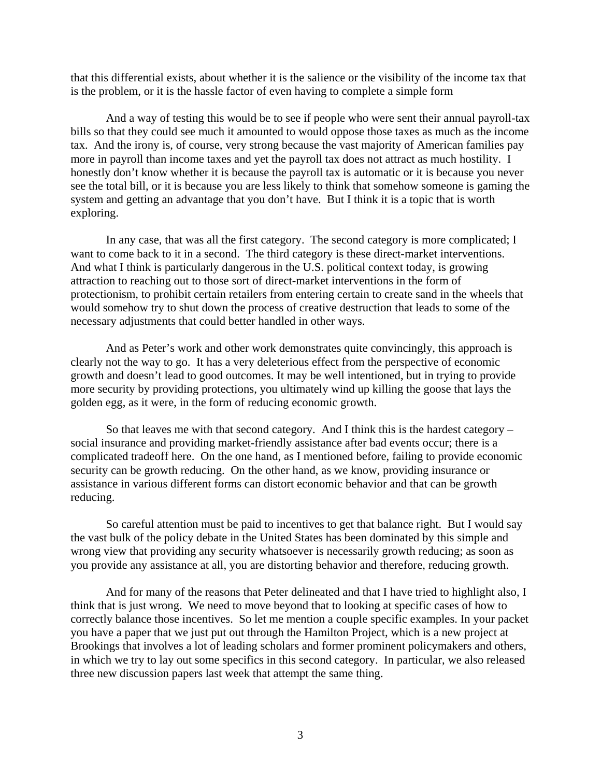that this differential exists, about whether it is the salience or the visibility of the income tax that is the problem, or it is the hassle factor of even having to complete a simple form

And a way of testing this would be to see if people who were sent their annual payroll-tax bills so that they could see much it amounted to would oppose those taxes as much as the income tax. And the irony is, of course, very strong because the vast majority of American families pay more in payroll than income taxes and yet the payroll tax does not attract as much hostility. I honestly don't know whether it is because the payroll tax is automatic or it is because you never see the total bill, or it is because you are less likely to think that somehow someone is gaming the system and getting an advantage that you don't have. But I think it is a topic that is worth exploring.

In any case, that was all the first category. The second category is more complicated; I want to come back to it in a second. The third category is these direct-market interventions. And what I think is particularly dangerous in the U.S. political context today, is growing attraction to reaching out to those sort of direct-market interventions in the form of protectionism, to prohibit certain retailers from entering certain to create sand in the wheels that would somehow try to shut down the process of creative destruction that leads to some of the necessary adjustments that could better handled in other ways.

And as Peter's work and other work demonstrates quite convincingly, this approach is clearly not the way to go. It has a very deleterious effect from the perspective of economic growth and doesn't lead to good outcomes. It may be well intentioned, but in trying to provide more security by providing protections, you ultimately wind up killing the goose that lays the golden egg, as it were, in the form of reducing economic growth.

So that leaves me with that second category. And I think this is the hardest category – social insurance and providing market-friendly assistance after bad events occur; there is a complicated tradeoff here. On the one hand, as I mentioned before, failing to provide economic security can be growth reducing. On the other hand, as we know, providing insurance or assistance in various different forms can distort economic behavior and that can be growth reducing.

So careful attention must be paid to incentives to get that balance right. But I would say the vast bulk of the policy debate in the United States has been dominated by this simple and wrong view that providing any security whatsoever is necessarily growth reducing; as soon as you provide any assistance at all, you are distorting behavior and therefore, reducing growth.

And for many of the reasons that Peter delineated and that I have tried to highlight also, I think that is just wrong. We need to move beyond that to looking at specific cases of how to correctly balance those incentives. So let me mention a couple specific examples. In your packet you have a paper that we just put out through the Hamilton Project, which is a new project at Brookings that involves a lot of leading scholars and former prominent policymakers and others, in which we try to lay out some specifics in this second category. In particular, we also released three new discussion papers last week that attempt the same thing.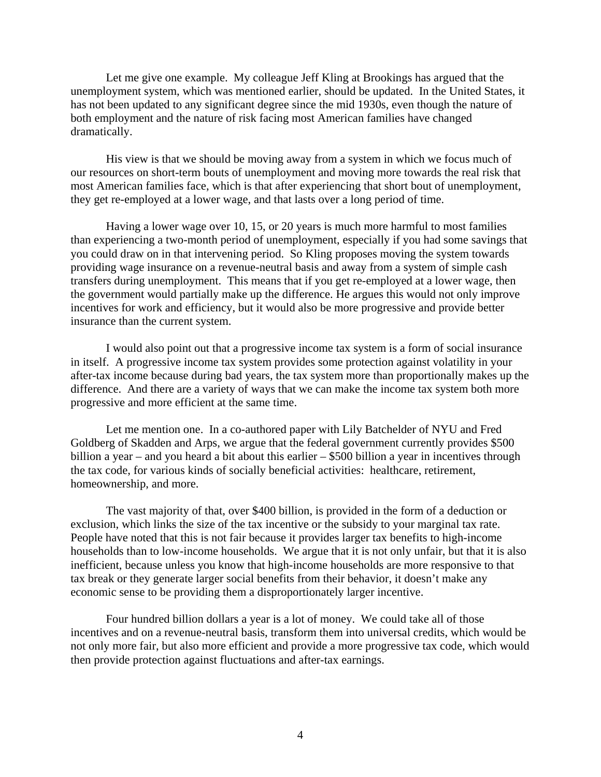Let me give one example. My colleague Jeff Kling at Brookings has argued that the unemployment system, which was mentioned earlier, should be updated. In the United States, it has not been updated to any significant degree since the mid 1930s, even though the nature of both employment and the nature of risk facing most American families have changed dramatically.

His view is that we should be moving away from a system in which we focus much of our resources on short-term bouts of unemployment and moving more towards the real risk that most American families face, which is that after experiencing that short bout of unemployment, they get re-employed at a lower wage, and that lasts over a long period of time.

Having a lower wage over 10, 15, or 20 years is much more harmful to most families than experiencing a two-month period of unemployment, especially if you had some savings that you could draw on in that intervening period. So Kling proposes moving the system towards providing wage insurance on a revenue-neutral basis and away from a system of simple cash transfers during unemployment. This means that if you get re-employed at a lower wage, then the government would partially make up the difference. He argues this would not only improve incentives for work and efficiency, but it would also be more progressive and provide better insurance than the current system.

I would also point out that a progressive income tax system is a form of social insurance in itself. A progressive income tax system provides some protection against volatility in your after-tax income because during bad years, the tax system more than proportionally makes up the difference. And there are a variety of ways that we can make the income tax system both more progressive and more efficient at the same time.

Let me mention one. In a co-authored paper with Lily Batchelder of NYU and Fred Goldberg of Skadden and Arps, we argue that the federal government currently provides \$500 billion a year – and you heard a bit about this earlier – \$500 billion a year in incentives through the tax code, for various kinds of socially beneficial activities: healthcare, retirement, homeownership, and more.

The vast majority of that, over \$400 billion, is provided in the form of a deduction or exclusion, which links the size of the tax incentive or the subsidy to your marginal tax rate. People have noted that this is not fair because it provides larger tax benefits to high-income households than to low-income households. We argue that it is not only unfair, but that it is also inefficient, because unless you know that high-income households are more responsive to that tax break or they generate larger social benefits from their behavior, it doesn't make any economic sense to be providing them a disproportionately larger incentive.

Four hundred billion dollars a year is a lot of money. We could take all of those incentives and on a revenue-neutral basis, transform them into universal credits, which would be not only more fair, but also more efficient and provide a more progressive tax code, which would then provide protection against fluctuations and after-tax earnings.